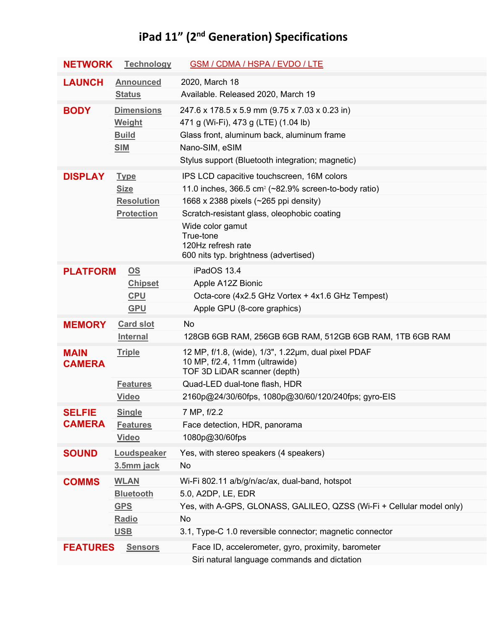## **iPad 11" (2nd Generation) Specifications**

| <b>NETWORK</b>                 | <b>Technology</b>                            | GSM / CDMA / HSPA / EVDO / LTE                                                        |
|--------------------------------|----------------------------------------------|---------------------------------------------------------------------------------------|
| <b>LAUNCH</b>                  | <b>Announced</b>                             | 2020, March 18                                                                        |
|                                | <b>Status</b>                                | Available. Released 2020, March 19                                                    |
| <b>BODY</b>                    | <b>Dimensions</b>                            | 247.6 x 178.5 x 5.9 mm (9.75 x 7.03 x 0.23 in)                                        |
|                                | Weight                                       | 471 g (Wi-Fi), 473 g (LTE) (1.04 lb)                                                  |
|                                | <b>Build</b>                                 | Glass front, aluminum back, aluminum frame                                            |
|                                | <b>SIM</b>                                   | Nano-SIM, eSIM                                                                        |
|                                |                                              | Stylus support (Bluetooth integration; magnetic)                                      |
| <b>DISPLAY</b>                 | <b>Type</b>                                  | IPS LCD capacitive touchscreen, 16M colors                                            |
|                                | <b>Size</b>                                  | 11.0 inches, $366.5$ cm <sup>2</sup> ( $\sim$ 82.9% screen-to-body ratio)             |
|                                | <b>Resolution</b>                            | 1668 x 2388 pixels (~265 ppi density)                                                 |
|                                | <b>Protection</b>                            | Scratch-resistant glass, oleophobic coating                                           |
|                                |                                              | Wide color gamut<br>True-tone                                                         |
|                                |                                              | 120Hz refresh rate                                                                    |
|                                |                                              | 600 nits typ. brightness (advertised)                                                 |
| <b>PLATFORM</b><br>OS          |                                              | iPadOS 13.4                                                                           |
|                                | <b>Chipset</b>                               | Apple A12Z Bionic                                                                     |
|                                | <b>CPU</b>                                   | Octa-core (4x2.5 GHz Vortex + 4x1.6 GHz Tempest)                                      |
|                                | <b>GPU</b>                                   | Apple GPU (8-core graphics)                                                           |
| <b>MEMORY</b>                  | <b>Card slot</b>                             | No                                                                                    |
|                                | <b>Internal</b>                              | 128GB 6GB RAM, 256GB 6GB RAM, 512GB 6GB RAM, 1TB 6GB RAM                              |
| <b>MAIN</b><br><b>CAMERA</b>   | <b>Triple</b>                                | 12 MP, f/1.8, (wide), 1/3", 1.22µm, dual pixel PDAF<br>10 MP, f/2.4, 11mm (ultrawide) |
|                                |                                              | TOF 3D LiDAR scanner (depth)                                                          |
|                                | <b>Features</b>                              | Quad-LED dual-tone flash, HDR                                                         |
|                                | <b>Video</b>                                 | 2160p@24/30/60fps, 1080p@30/60/120/240fps; gyro-EIS                                   |
| <b>SELFIE</b><br><b>CAMERA</b> | <b>Single</b>                                | 7 MP, f/2.2                                                                           |
|                                | <b>Features</b>                              | Face detection, HDR, panorama                                                         |
|                                | <b>Video</b>                                 | 1080p@30/60fps                                                                        |
| <b>SOUND</b>                   | Loudspeaker                                  | Yes, with stereo speakers (4 speakers)                                                |
|                                | 3.5mm jack                                   | No                                                                                    |
| <b>COMMS</b>                   | <b>WLAN</b>                                  | Wi-Fi 802.11 a/b/g/n/ac/ax, dual-band, hotspot                                        |
|                                | <b>Bluetooth</b>                             | 5.0, A2DP, LE, EDR                                                                    |
|                                | <b>GPS</b>                                   | Yes, with A-GPS, GLONASS, GALILEO, QZSS (Wi-Fi + Cellular model only)                 |
|                                | Radio                                        | No                                                                                    |
|                                | <b>USB</b>                                   | 3.1, Type-C 1.0 reversible connector; magnetic connector                              |
| <b>FEATURES</b>                | <b>Sensors</b>                               | Face ID, accelerometer, gyro, proximity, barometer                                    |
|                                | Siri natural language commands and dictation |                                                                                       |